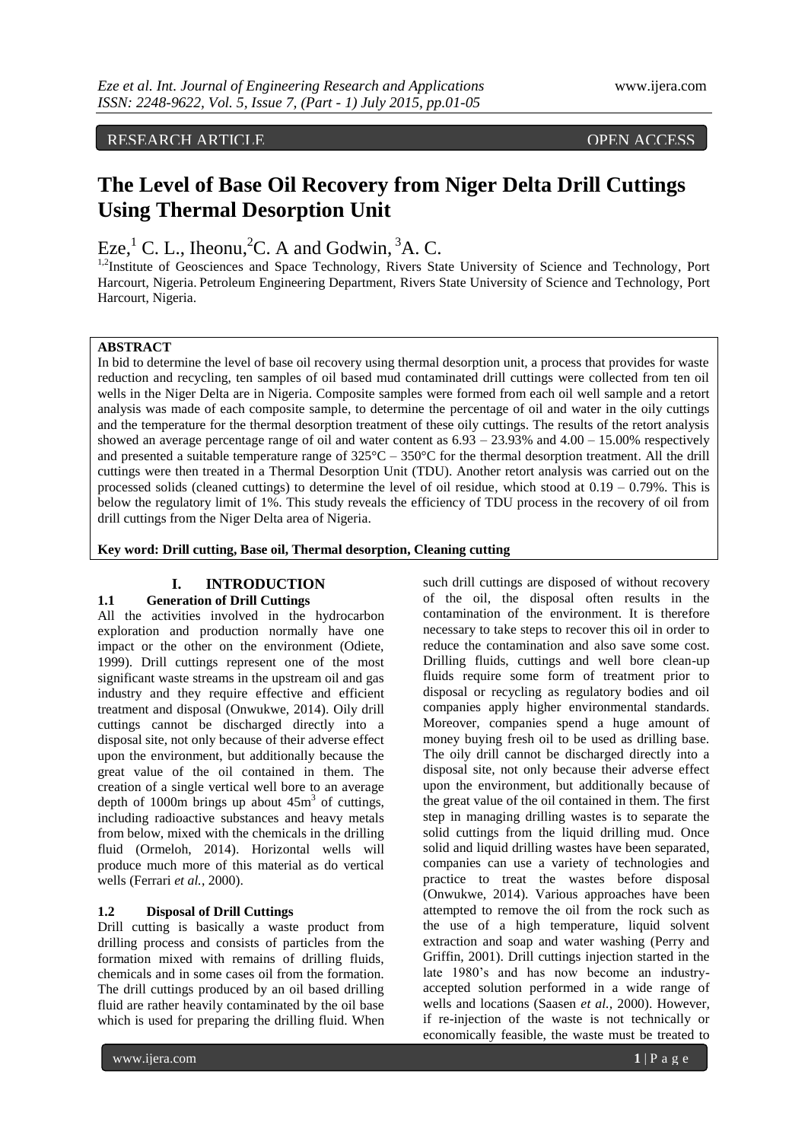RESEARCH ARTICLE **CONTRACT ARTICLE** 

# **The Level of Base Oil Recovery from Niger Delta Drill Cuttings Using Thermal Desorption Unit**

Eze, <sup>1</sup> C. L., Iheonu, <sup>2</sup>C. A and Godwin, <sup>3</sup>A. C.

<sup>1,2</sup>Institute of Geosciences and Space Technology, Rivers State University of Science and Technology, Port Harcourt, Nigeria. Petroleum Engineering Department, Rivers State University of Science and Technology, Port Harcourt, Nigeria.

# **ABSTRACT**

In bid to determine the level of base oil recovery using thermal desorption unit, a process that provides for waste reduction and recycling, ten samples of oil based mud contaminated drill cuttings were collected from ten oil wells in the Niger Delta are in Nigeria. Composite samples were formed from each oil well sample and a retort analysis was made of each composite sample, to determine the percentage of oil and water in the oily cuttings and the temperature for the thermal desorption treatment of these oily cuttings. The results of the retort analysis showed an average percentage range of oil and water content as  $6.93 - 23.93\%$  and  $4.00 - 15.00\%$  respectively and presented a suitable temperature range of 325°C – 350°C for the thermal desorption treatment. All the drill cuttings were then treated in a Thermal Desorption Unit (TDU). Another retort analysis was carried out on the processed solids (cleaned cuttings) to determine the level of oil residue, which stood at  $0.19 - 0.79\%$ . This is below the regulatory limit of 1%. This study reveals the efficiency of TDU process in the recovery of oil from drill cuttings from the Niger Delta area of Nigeria.

**Key word: Drill cutting, Base oil, Thermal desorption, Cleaning cutting**

# **I. INTRODUCTION**

# **1.1 Generation of Drill Cuttings**

All the activities involved in the hydrocarbon exploration and production normally have one impact or the other on the environment (Odiete, 1999). Drill cuttings represent one of the most significant waste streams in the upstream oil and gas industry and they require effective and efficient treatment and disposal (Onwukwe, 2014). Oily drill cuttings cannot be discharged directly into a disposal site, not only because of their adverse effect upon the environment, but additionally because the great value of the oil contained in them. The creation of a single vertical well bore to an average depth of  $1000m$  brings up about  $45m<sup>3</sup>$  of cuttings, including radioactive substances and heavy metals from below, mixed with the chemicals in the drilling fluid (Ormeloh, 2014). Horizontal wells will produce much more of this material as do vertical wells (Ferrari *et al.*, 2000).

# **1.2 Disposal of Drill Cuttings**

Drill cutting is basically a waste product from drilling process and consists of particles from the formation mixed with remains of drilling fluids, chemicals and in some cases oil from the formation. The drill cuttings produced by an oil based drilling fluid are rather heavily contaminated by the oil base which is used for preparing the drilling fluid. When

such drill cuttings are disposed of without recovery of the oil, the disposal often results in the contamination of the environment. It is therefore necessary to take steps to recover this oil in order to reduce the contamination and also save some cost. Drilling fluids, cuttings and well bore clean-up fluids require some form of treatment prior to disposal or recycling as regulatory bodies and oil companies apply higher environmental standards. Moreover, companies spend a huge amount of money buying fresh oil to be used as drilling base. The oily drill cannot be discharged directly into a disposal site, not only because their adverse effect upon the environment, but additionally because of the great value of the oil contained in them. The first step in managing drilling wastes is to separate the solid cuttings from the liquid drilling mud. Once solid and liquid drilling wastes have been separated, companies can use a variety of technologies and practice to treat the wastes before disposal (Onwukwe, 2014). Various approaches have been attempted to remove the oil from the rock such as the use of a high temperature, liquid solvent extraction and soap and water washing (Perry and Griffin, 2001). Drill cuttings injection started in the late 1980's and has now become an industryaccepted solution performed in a wide range of wells and locations (Saasen *et al.,* 2000). However, if re-injection of the waste is not technically or economically feasible, the waste must be treated to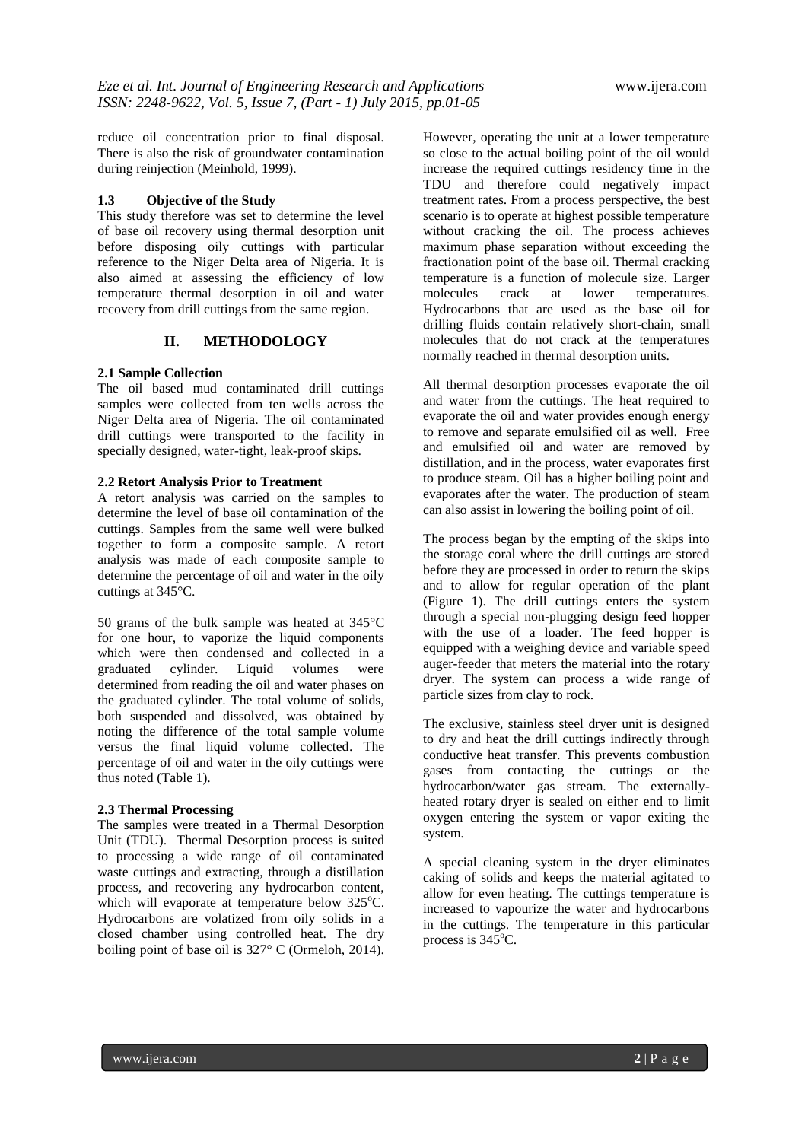reduce oil concentration prior to final disposal. There is also the risk of groundwater contamination during reinjection (Meinhold, 1999).

#### **1.3 Objective of the Study**

This study therefore was set to determine the level of base oil recovery using thermal desorption unit before disposing oily cuttings with particular reference to the Niger Delta area of Nigeria. It is also aimed at assessing the efficiency of low temperature thermal desorption in oil and water recovery from drill cuttings from the same region.

## **II. METHODOLOGY**

#### **2.1 Sample Collection**

The oil based mud contaminated drill cuttings samples were collected from ten wells across the Niger Delta area of Nigeria. The oil contaminated drill cuttings were transported to the facility in specially designed, water-tight, leak-proof skips.

# **2.2 Retort Analysis Prior to Treatment**

A retort analysis was carried on the samples to determine the level of base oil contamination of the cuttings. Samples from the same well were bulked together to form a composite sample. A retort analysis was made of each composite sample to determine the percentage of oil and water in the oily cuttings at 345°C.

50 grams of the bulk sample was heated at 345°C for one hour, to vaporize the liquid components which were then condensed and collected in a graduated cylinder. Liquid volumes were determined from reading the oil and water phases on the graduated cylinder. The total volume of solids, both suspended and dissolved, was obtained by noting the difference of the total sample volume versus the final liquid volume collected. The percentage of oil and water in the oily cuttings were thus noted (Table 1).

#### **2.3 Thermal Processing**

The samples were treated in a Thermal Desorption Unit (TDU). Thermal Desorption process is suited to processing a wide range of oil contaminated waste cuttings and extracting, through a distillation process, and recovering any hydrocarbon content, which will evaporate at temperature below 325°C. Hydrocarbons are volatized from oily solids in a closed chamber using controlled heat. The dry boiling point of base oil is 327° C (Ormeloh, 2014). However, operating the unit at a lower temperature so close to the actual boiling point of the oil would increase the required cuttings residency time in the TDU and therefore could negatively impact treatment rates. From a process perspective, the best scenario is to operate at highest possible temperature without cracking the oil. The process achieves maximum phase separation without exceeding the fractionation point of the base oil. Thermal cracking temperature is a function of molecule size. Larger molecules crack at lower temperatures. Hydrocarbons that are used as the base oil for drilling fluids contain relatively short-chain, small molecules that do not crack at the temperatures normally reached in thermal desorption units.

All thermal desorption processes evaporate the oil and water from the cuttings. The heat required to evaporate the oil and water provides enough energy to remove and separate emulsified oil as well. Free and emulsified oil and water are removed by distillation, and in the process, water evaporates first to produce steam. Oil has a higher boiling point and evaporates after the water. The production of steam can also assist in lowering the boiling point of oil.

The process began by the empting of the skips into the storage coral where the drill cuttings are stored before they are processed in order to return the skips and to allow for regular operation of the plant (Figure 1). The drill cuttings enters the system through a special non-plugging design feed hopper with the use of a loader. The feed hopper is equipped with a weighing device and variable speed auger-feeder that meters the material into the rotary dryer. The system can process a wide range of particle sizes from clay to rock.

The exclusive, stainless steel dryer unit is designed to dry and heat the drill cuttings indirectly through conductive heat transfer. This prevents combustion gases from contacting the cuttings or the hydrocarbon/water gas stream. The externallyheated rotary dryer is sealed on either end to limit oxygen entering the system or vapor exiting the system.

A special cleaning system in the dryer eliminates caking of solids and keeps the material agitated to allow for even heating. The cuttings temperature is increased to vapourize the water and hydrocarbons in the cuttings. The temperature in this particular process is  $345^{\circ}$ C.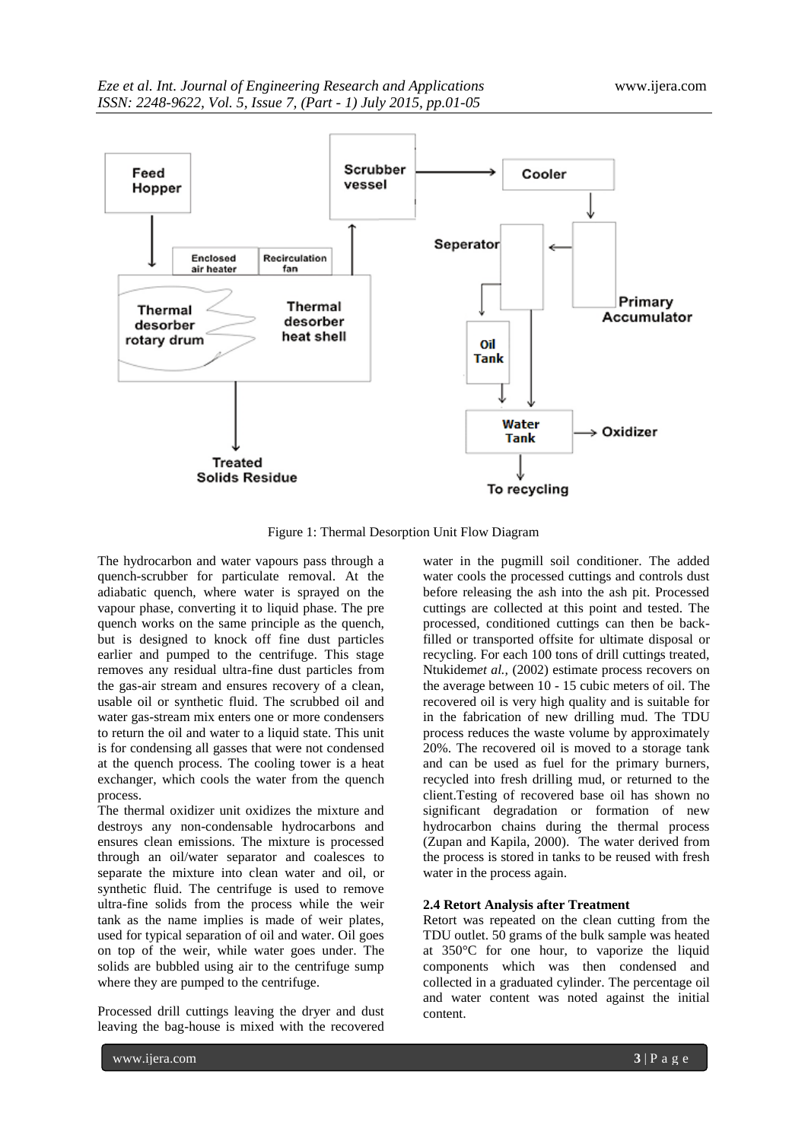

Figure 1: Thermal Desorption Unit Flow Diagram

The hydrocarbon and water vapours pass through a quench-scrubber for particulate removal. At the adiabatic quench, where water is sprayed on the vapour phase, converting it to liquid phase. The pre quench works on the same principle as the quench, but is designed to knock off fine dust particles earlier and pumped to the centrifuge. This stage removes any residual ultra-fine dust particles from the gas-air stream and ensures recovery of a clean, usable oil or synthetic fluid. The scrubbed oil and water gas-stream mix enters one or more condensers to return the oil and water to a liquid state. This unit is for condensing all gasses that were not condensed at the quench process. The cooling tower is a heat exchanger, which cools the water from the quench process.

The thermal oxidizer unit oxidizes the mixture and destroys any non-condensable hydrocarbons and ensures clean emissions. The mixture is processed through an oil/water separator and coalesces to separate the mixture into clean water and oil, or synthetic fluid. The centrifuge is used to remove ultra-fine solids from the process while the weir tank as the name implies is made of weir plates, used for typical separation of oil and water. Oil goes on top of the weir, while water goes under. The solids are bubbled using air to the centrifuge sump where they are pumped to the centrifuge.

Processed drill cuttings leaving the dryer and dust leaving the bag-house is mixed with the recovered

water in the pugmill soil conditioner. The added water cools the processed cuttings and controls dust before releasing the ash into the ash pit. Processed cuttings are collected at this point and tested. The processed, conditioned cuttings can then be backfilled or transported offsite for ultimate disposal or recycling. For each 100 tons of drill cuttings treated, Ntukidem*et al.,* (2002) estimate process recovers on the average between 10 - 15 cubic meters of oil. The recovered oil is very high quality and is suitable for in the fabrication of new drilling mud. The TDU process reduces the waste volume by approximately 20%. The recovered oil is moved to a storage tank and can be used as fuel for the primary burners, recycled into fresh drilling mud, or returned to the client.Testing of recovered base oil has shown no significant degradation or formation of new hydrocarbon chains during the thermal process (Zupan and Kapila, 2000). The water derived from the process is stored in tanks to be reused with fresh water in the process again.

#### **2.4 Retort Analysis after Treatment**

Retort was repeated on the clean cutting from the TDU outlet. 50 grams of the bulk sample was heated at 350°C for one hour, to vaporize the liquid components which was then condensed and collected in a graduated cylinder. The percentage oil and water content was noted against the initial content.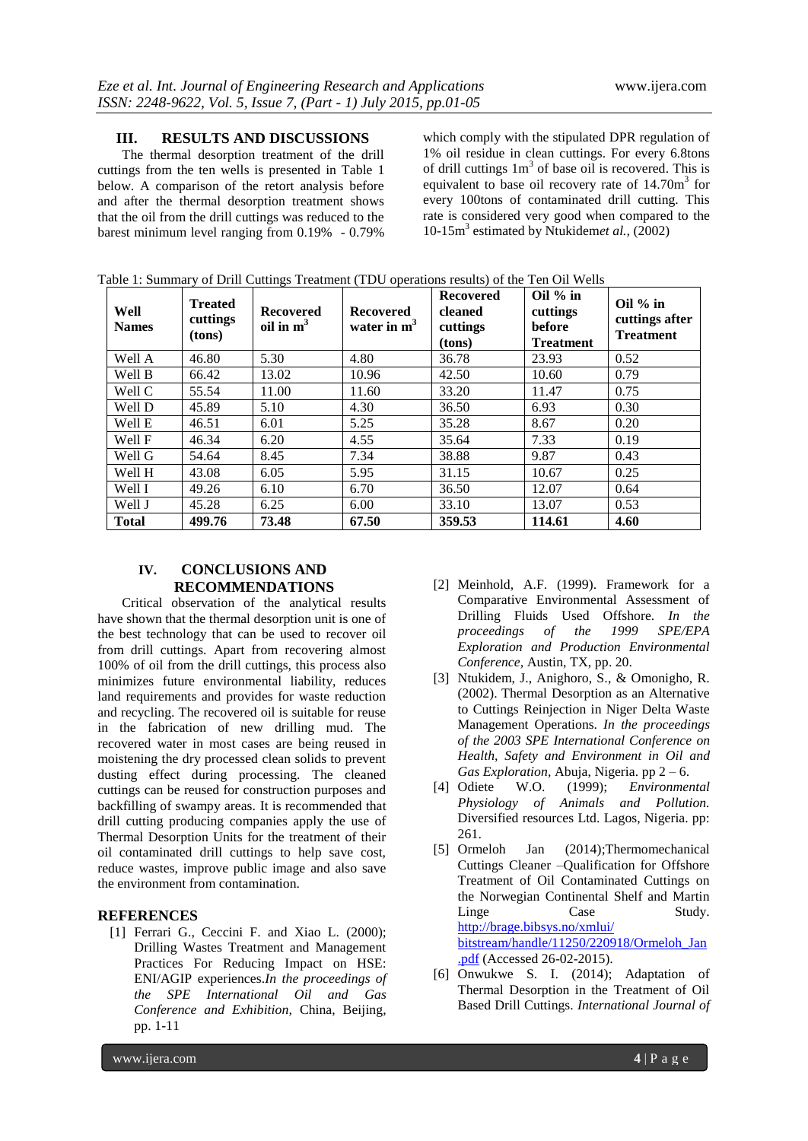# **III. RESULTS AND DISCUSSIONS**

The thermal desorption treatment of the drill cuttings from the ten wells is presented in Table 1 below. A comparison of the retort analysis before and after the thermal desorption treatment shows that the oil from the drill cuttings was reduced to the barest minimum level ranging from 0.19% - 0.79%

which comply with the stipulated DPR regulation of 1% oil residue in clean cuttings. For every 6.8tons of drill cuttings  $1m<sup>3</sup>$  of base oil is recovered. This is equivalent to base oil recovery rate of  $14.70m<sup>3</sup>$  for every 100tons of contaminated drill cutting. This rate is considered very good when compared to the 10-15m<sup>3</sup> estimated by Ntukidemet al., (2002)

| Well<br><b>Names</b> | <b>Treated</b><br>cuttings<br>(tons) | <b>Recovered</b><br>oil in $m3$ | <b>Recovered</b><br>water in $m3$ | <b>Recovered</b><br>cleaned<br>cuttings<br>(tons) | Oil $%$ in<br>cuttings<br>before<br><b>Treatment</b> | Oil $%$ in<br>cuttings after<br><b>Treatment</b> |
|----------------------|--------------------------------------|---------------------------------|-----------------------------------|---------------------------------------------------|------------------------------------------------------|--------------------------------------------------|
| Well A               | 46.80                                | 5.30                            | 4.80                              | 36.78                                             | 23.93                                                | 0.52                                             |
| Well B               | 66.42                                | 13.02                           | 10.96                             | 42.50                                             | 10.60                                                | 0.79                                             |
| Well C               | 55.54                                | 11.00                           | 11.60                             | 33.20                                             | 11.47                                                | 0.75                                             |
| Well D               | 45.89                                | 5.10                            | 4.30                              | 36.50                                             | 6.93                                                 | 0.30                                             |
| Well E               | 46.51                                | 6.01                            | 5.25                              | 35.28                                             | 8.67                                                 | 0.20                                             |
| Well F               | 46.34                                | 6.20                            | 4.55                              | 35.64                                             | 7.33                                                 | 0.19                                             |
| Well G               | 54.64                                | 8.45                            | 7.34                              | 38.88                                             | 9.87                                                 | 0.43                                             |
| Well H               | 43.08                                | 6.05                            | 5.95                              | 31.15                                             | 10.67                                                | 0.25                                             |
| Well I               | 49.26                                | 6.10                            | 6.70                              | 36.50                                             | 12.07                                                | 0.64                                             |
| Well J               | 45.28                                | 6.25                            | 6.00                              | 33.10                                             | 13.07                                                | 0.53                                             |
| <b>Total</b>         | 499.76                               | 73.48                           | 67.50                             | 359.53                                            | 114.61                                               | 4.60                                             |

Table 1: Summary of Drill Cuttings Treatment (TDU operations results) of the Ten Oil Wells

# **IV. CONCLUSIONS AND RECOMMENDATIONS**

Critical observation of the analytical results have shown that the thermal desorption unit is one of the best technology that can be used to recover oil from drill cuttings. Apart from recovering almost 100% of oil from the drill cuttings, this process also minimizes future environmental liability, reduces land requirements and provides for waste reduction and recycling. The recovered oil is suitable for reuse in the fabrication of new drilling mud. The recovered water in most cases are being reused in moistening the dry processed clean solids to prevent dusting effect during processing. The cleaned cuttings can be reused for construction purposes and backfilling of swampy areas. It is recommended that drill cutting producing companies apply the use of Thermal Desorption Units for the treatment of their oil contaminated drill cuttings to help save cost, reduce wastes, improve public image and also save the environment from contamination.

### **REFERENCES**

[1] Ferrari G., Ceccini F. and Xiao L. (2000); Drilling Wastes Treatment and Management Practices For Reducing Impact on HSE: ENI/AGIP experiences.*In the proceedings of the SPE International Oil and Gas Conference and Exhibition,* China, Beijing, pp. 1-11

- [2] Meinhold, A.F. (1999). Framework for a Comparative Environmental Assessment of Drilling Fluids Used Offshore. *In the proceedings of the 1999 Exploration and Production Environmental Conference,* Austin, TX, pp. 20.
- [3] Ntukidem, J., Anighoro, S., & Omonigho, R. (2002). Thermal Desorption as an Alternative to Cuttings Reinjection in Niger Delta Waste Management Operations. *In the proceedings of the 2003 SPE International Conference on Health, Safety and Environment in Oil and Gas Exploration,* Abuja, Nigeria. pp 2 – 6.
- [4] Odiete W.O. (1999); *Environmental Physiology of Animals and Pollution.* Diversified resources Ltd. Lagos, Nigeria. pp: 261.
- [5] Ormeloh Jan (2014);Thermomechanical Cuttings Cleaner –Qualification for Offshore Treatment of Oil Contaminated Cuttings on the Norwegian Continental Shelf and Martin Linge Case Study. [http://brage.bibsys.no/xmlui/](http://brage.bibsys.no/xmlui/%20bitstream/handle/11250/220918/Ormeloh_Jan.pdf)  [bitstream/handle/11250/220918/Ormeloh\\_Jan](http://brage.bibsys.no/xmlui/%20bitstream/handle/11250/220918/Ormeloh_Jan.pdf) [.pdf](http://brage.bibsys.no/xmlui/%20bitstream/handle/11250/220918/Ormeloh_Jan.pdf) (Accessed 26-02-2015).
- [6] Onwukwe S. I. (2014); Adaptation of Thermal Desorption in the Treatment of Oil Based Drill Cuttings. *International Journal of*